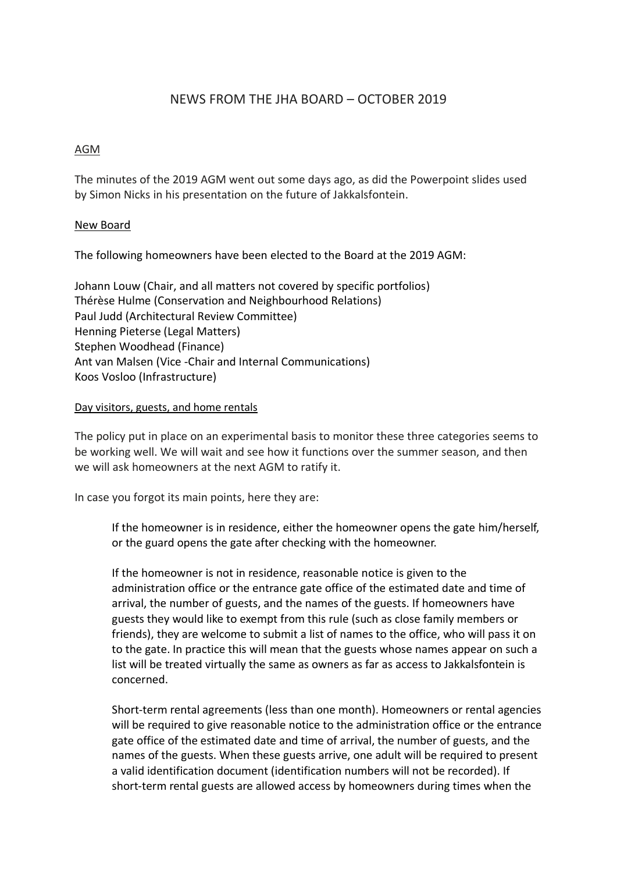# NEWS FROM THE JHA BOARD – OCTOBER 2019

# AGM

The minutes of the 2019 AGM went out some days ago, as did the Powerpoint slides used by Simon Nicks in his presentation on the future of Jakkalsfontein.

# New Board

The following homeowners have been elected to the Board at the 2019 AGM:

Johann Louw (Chair, and all matters not covered by specific portfolios) Thérèse Hulme (Conservation and Neighbourhood Relations) Paul Judd (Architectural Review Committee) Henning Pieterse (Legal Matters) Stephen Woodhead (Finance) Ant van Malsen (Vice -Chair and Internal Communications) Koos Vosloo (Infrastructure)

# Day visitors, guests, and home rentals

The policy put in place on an experimental basis to monitor these three categories seems to be working well. We will wait and see how it functions over the summer season, and then we will ask homeowners at the next AGM to ratify it.

In case you forgot its main points, here they are:

If the homeowner is in residence, either the homeowner opens the gate him/herself, or the guard opens the gate after checking with the homeowner.

If the homeowner is not in residence, reasonable notice is given to the administration office or the entrance gate office of the estimated date and time of arrival, the number of guests, and the names of the guests. If homeowners have guests they would like to exempt from this rule (such as close family members or friends), they are welcome to submit a list of names to the office, who will pass it on to the gate. In practice this will mean that the guests whose names appear on such a list will be treated virtually the same as owners as far as access to Jakkalsfontein is concerned.

Short-term rental agreements (less than one month). Homeowners or rental agencies will be required to give reasonable notice to the administration office or the entrance gate office of the estimated date and time of arrival, the number of guests, and the names of the guests. When these guests arrive, one adult will be required to present a valid identification document (identification numbers will not be recorded). If short-term rental guests are allowed access by homeowners during times when the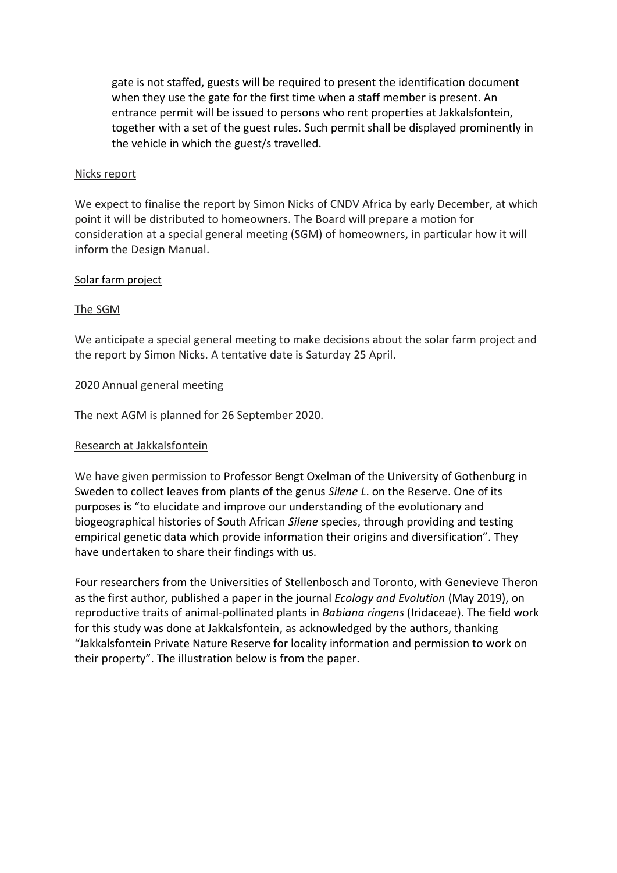gate is not staffed, guests will be required to present the identification document when they use the gate for the first time when a staff member is present. An entrance permit will be issued to persons who rent properties at Jakkalsfontein, together with a set of the guest rules. Such permit shall be displayed prominently in the vehicle in which the guest/s travelled.

## Nicks report

We expect to finalise the report by Simon Nicks of CNDV Africa by early December, at which point it will be distributed to homeowners. The Board will prepare a motion for consideration at a special general meeting (SGM) of homeowners, in particular how it will inform the Design Manual.

#### Solar farm project

### The SGM

We anticipate a special general meeting to make decisions about the solar farm project and the report by Simon Nicks. A tentative date is Saturday 25 April.

### 2020 Annual general meeting

The next AGM is planned for 26 September 2020.

#### Research at Jakkalsfontein

We have given permission to Professor Bengt Oxelman of the University of Gothenburg in Sweden to collect leaves from plants of the genus *Silene L*. on the Reserve. One of its purposes is "to elucidate and improve our understanding of the evolutionary and biogeographical histories of South African *Silene* species, through providing and testing empirical genetic data which provide information their origins and diversification". They have undertaken to share their findings with us.

Four researchers from the Universities of Stellenbosch and Toronto, with Genevieve Theron as the first author, published a paper in the journal *Ecology and Evolution* (May 2019), on reproductive traits of animal-pollinated plants in *Babiana ringens* (Iridaceae). The field work for this study was done at Jakkalsfontein, as acknowledged by the authors, thanking "Jakkalsfontein Private Nature Reserve for locality information and permission to work on their property". The illustration below is from the paper.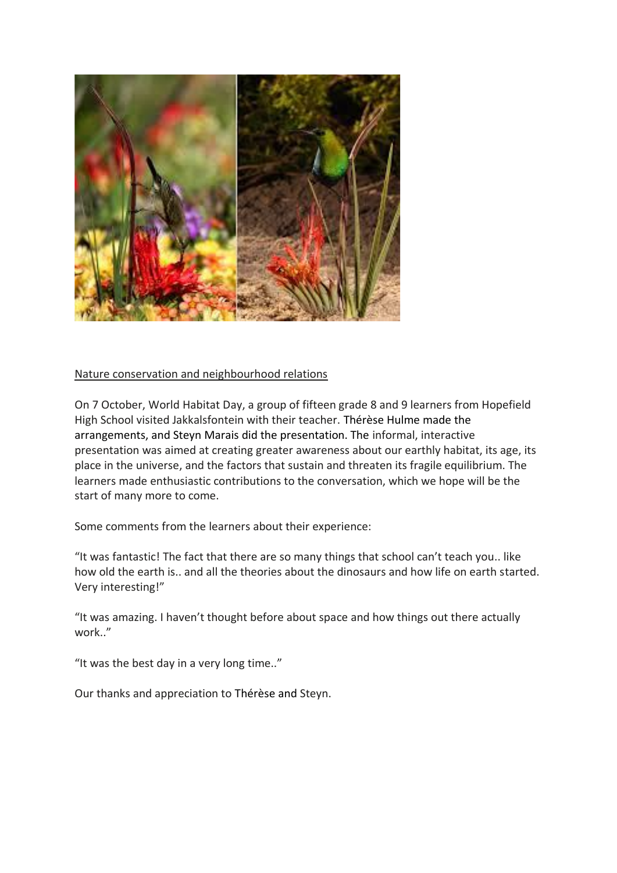

# Nature conservation and neighbourhood relations

On 7 October, World Habitat Day, a group of fifteen grade 8 and 9 learners from Hopefield High School visited Jakkalsfontein with their teacher. Thérèse Hulme made the arrangements, and Steyn Marais did the presentation. The informal, interactive presentation was aimed at creating greater awareness about our earthly habitat, its age, its place in the universe, and the factors that sustain and threaten its fragile equilibrium. The learners made enthusiastic contributions to the conversation, which we hope will be the start of many more to come.

Some comments from the learners about their experience:

"It was fantastic! The fact that there are so many things that school can't teach you.. like how old the earth is.. and all the theories about the dinosaurs and how life on earth started. Very interesting!"

"It was amazing. I haven't thought before about space and how things out there actually work.."

"It was the best day in a very long time.."

Our thanks and appreciation to Thérèse and Steyn.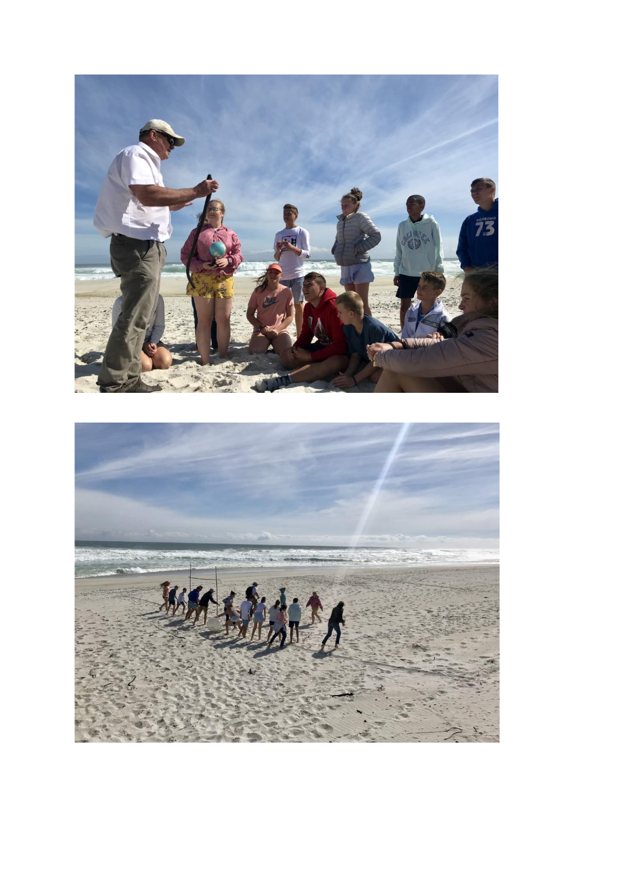

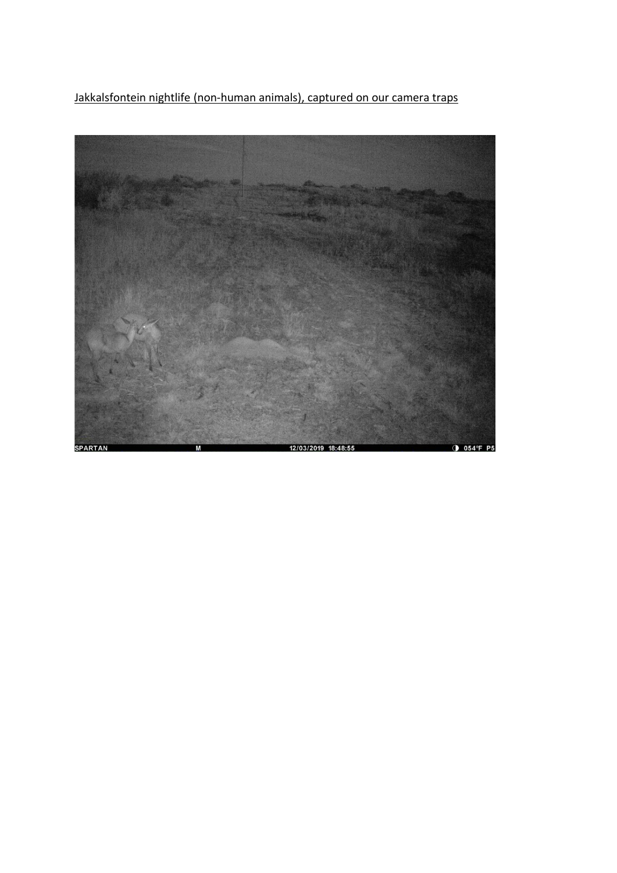Jakkalsfontein nightlife (non-human animals), captured on our camera traps

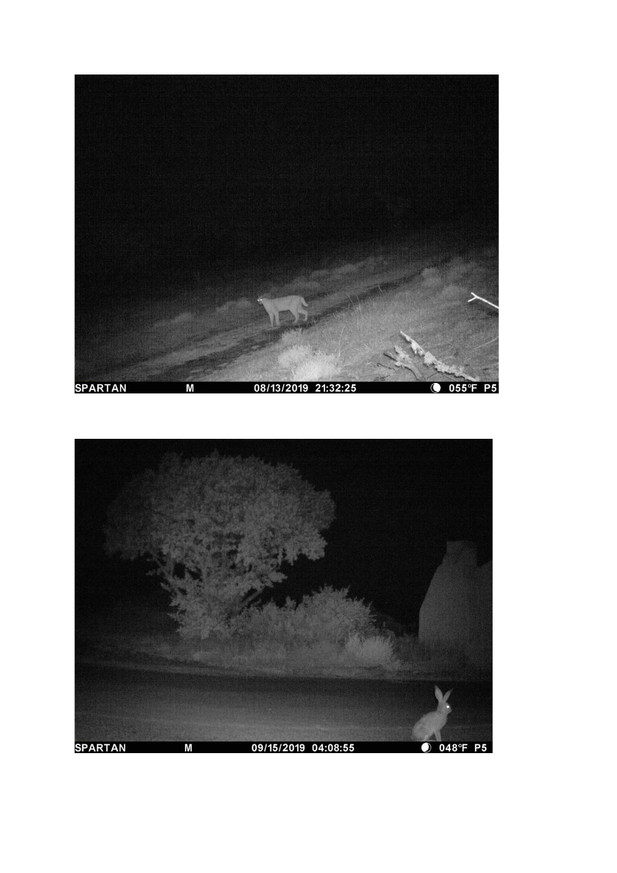